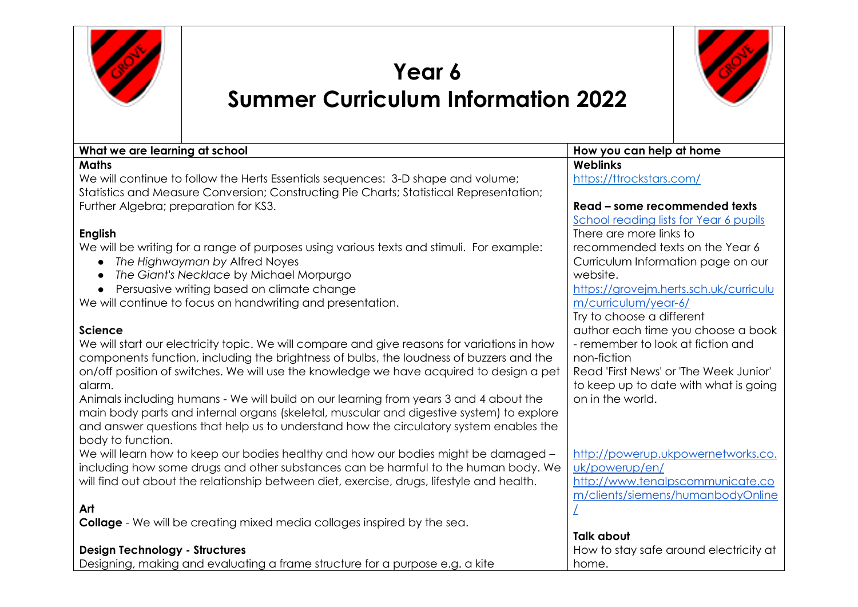

## **Year 6 Summer Curriculum Information 2022**



| What we are learning at school                                                              | How you can help at home               |  |  |
|---------------------------------------------------------------------------------------------|----------------------------------------|--|--|
| <b>Maths</b>                                                                                | <b>Weblinks</b>                        |  |  |
| We will continue to follow the Herts Essentials sequences: 3-D shape and volume;            | https://ttrockstars.com/               |  |  |
| Statistics and Measure Conversion; Constructing Pie Charts; Statistical Representation;     |                                        |  |  |
| Further Algebra; preparation for KS3.                                                       | Read - some recommended texts          |  |  |
|                                                                                             | School reading lists for Year 6 pupils |  |  |
| <b>English</b>                                                                              | There are more links to                |  |  |
| We will be writing for a range of purposes using various texts and stimuli. For example:    | recommended texts on the Year 6        |  |  |
| The Highwayman by Alfred Noyes<br>$\bullet$                                                 | Curriculum Information page on our     |  |  |
| The Giant's Necklace by Michael Morpurgo<br>$\bullet$                                       | website.                               |  |  |
| Persuasive writing based on climate change<br>$\bullet$                                     | https://grovejm.herts.sch.uk/curriculu |  |  |
| We will continue to focus on handwriting and presentation.                                  | m/curriculum/year-6/                   |  |  |
|                                                                                             | Try to choose a different              |  |  |
| <b>Science</b>                                                                              | author each time you choose a book     |  |  |
| We will start our electricity topic. We will compare and give reasons for variations in how | - remember to look at fiction and      |  |  |
| components function, including the brightness of bulbs, the loudness of buzzers and the     | non-fiction                            |  |  |
| on/off position of switches. We will use the knowledge we have acquired to design a pet     | Read 'First News' or 'The Week Junior' |  |  |
| alarm.                                                                                      | to keep up to date with what is going  |  |  |
| Animals including humans - We will build on our learning from years 3 and 4 about the       | on in the world.                       |  |  |
| main body parts and internal organs (skeletal, muscular and digestive system) to explore    |                                        |  |  |
| and answer questions that help us to understand how the circulatory system enables the      |                                        |  |  |
| body to function.                                                                           |                                        |  |  |
| We will learn how to keep our bodies healthy and how our bodies might be damaged -          | http://powerup.ukpowernetworks.co.     |  |  |
| including how some drugs and other substances can be harmful to the human body. We          | uk/powerup/en/                         |  |  |
| will find out about the relationship between diet, exercise, drugs, lifestyle and health.   | http://www.tenalpscommunicate.co       |  |  |
|                                                                                             | m/clients/siemens/humanbodyOnline      |  |  |
| Art                                                                                         |                                        |  |  |
| <b>Collage</b> - We will be creating mixed media collages inspired by the sea.              |                                        |  |  |
|                                                                                             | <b>Talk about</b>                      |  |  |
| <b>Design Technology - Structures</b>                                                       | How to stay safe around electricity at |  |  |
| Designing, making and evaluating a frame structure for a purpose e.g. a kite<br>home.       |                                        |  |  |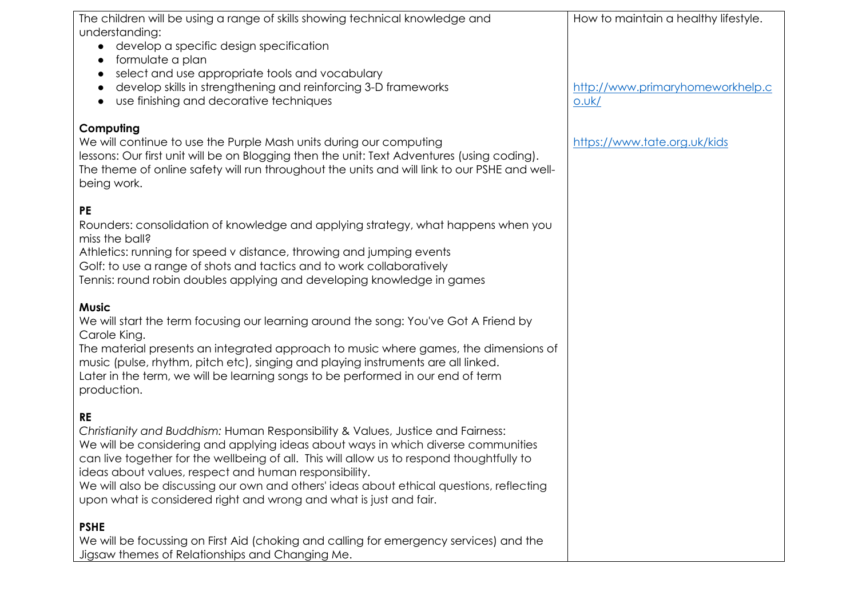| The children will be using a range of skills showing technical knowledge and                 | How to maintain a healthy lifestyle. |
|----------------------------------------------------------------------------------------------|--------------------------------------|
| understanding:                                                                               |                                      |
| develop a specific design specification                                                      |                                      |
| formulate a plan<br>select and use appropriate tools and vocabulary                          |                                      |
| develop skills in strengthening and reinforcing 3-D frameworks                               | http://www.primaryhomeworkhelp.c     |
| use finishing and decorative techniques                                                      | 0.0k/                                |
|                                                                                              |                                      |
| Computing                                                                                    |                                      |
| We will continue to use the Purple Mash units during our computing                           | https://www.tate.org.uk/kids         |
| lessons: Our first unit will be on Blogging then the unit: Text Adventures (using coding).   |                                      |
| The theme of online safety will run throughout the units and will link to our PSHE and well- |                                      |
| being work.                                                                                  |                                      |
| <b>PE</b>                                                                                    |                                      |
| Rounders: consolidation of knowledge and applying strategy, what happens when you            |                                      |
| miss the ball?                                                                               |                                      |
| Athletics: running for speed v distance, throwing and jumping events                         |                                      |
| Golf: to use a range of shots and tactics and to work collaboratively                        |                                      |
| Tennis: round robin doubles applying and developing knowledge in games                       |                                      |
| <b>Music</b>                                                                                 |                                      |
| We will start the term focusing our learning around the song: You've Got A Friend by         |                                      |
| Carole King.                                                                                 |                                      |
| The material presents an integrated approach to music where games, the dimensions of         |                                      |
| music (pulse, rhythm, pitch etc), singing and playing instruments are all linked.            |                                      |
| Later in the term, we will be learning songs to be performed in our end of term              |                                      |
| production.                                                                                  |                                      |
| <b>RE</b>                                                                                    |                                      |
| Christianity and Buddhism: Human Responsibility & Values, Justice and Fairness:              |                                      |
| We will be considering and applying ideas about ways in which diverse communities            |                                      |
| can live together for the wellbeing of all. This will allow us to respond thoughtfully to    |                                      |
| ideas about values, respect and human responsibility.                                        |                                      |
| We will also be discussing our own and others' ideas about ethical questions, reflecting     |                                      |
| upon what is considered right and wrong and what is just and fair.                           |                                      |
| <b>PSHE</b>                                                                                  |                                      |
| We will be focussing on First Aid (choking and calling for emergency services) and the       |                                      |
| Jigsaw themes of Relationships and Changing Me.                                              |                                      |